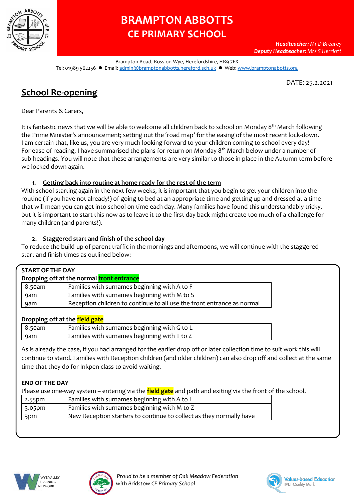

# **BRAMPTON ABBOTTS CE PRIMARY SCHOOL**

Brampton Road, Ross-on-Wye, Herefordshire, HR9 7FX Tel: 01989 562256 ● Email: [admin@bramptonabbotts.hereford.sch.uk](mailto:admin@bramptonabbotts.hereford.sch.uk) ● Web: [www.bramptonabotts.org](http://www.bramptonabotts.org/)

DATE: 25.2.2021

# **School Re-opening**

Dear Parents & Carers,

It is fantastic news that we will be able to welcome all children back to school on Monday  $8<sup>th</sup>$  March following the Prime Minister's announcement; setting out the 'road map' for the easing of the most recent lock-down. I am certain that, like us, you are very much looking forward to your children coming to school every day! For ease of reading, I have summarised the plans for return on Monday  $8<sup>th</sup>$  March below under a number of sub-headings. You will note that these arrangements are very similar to those in place in the Autumn term before we locked down again.

#### **1. Getting back into routine at home ready for the rest of the term**

With school starting again in the next few weeks, it is important that you begin to get your children into the routine (if you have not already!) of going to bed at an appropriate time and getting up and dressed at a time that will mean you can get into school on time each day. Many families have found this understandably tricky, but it is important to start this now as to leave it to the first day back might create too much of a challenge for many children (and parents!).

#### **2. Staggered start and finish of the school day**

To reduce the build-up of parent traffic in the mornings and afternoons, we will continue with the staggered start and finish times as outlined below:

| START OF THE DAY | Dropping off at the normal front entrance                              |
|------------------|------------------------------------------------------------------------|
| 8.50am           | Families with surnames beginning with A to F                           |
| gam              | Families with surnames beginning with M to S                           |
| <b>9am</b>       | Reception children to continue to all use the front entrance as normal |

#### **Dropping off at the field gate**

| 8.50am | Families with surnames beginning with G to L |
|--------|----------------------------------------------|
| gam    | Families with surnames beginning with T to Z |

As is already the case, if you had arranged for the earlier drop off or later collection time to suit work this will continue to stand. Families with Reception children (and older children) can also drop off and collect at the same time that they do for Inkpen class to avoid waiting.

#### **END OF THE DAY**

Please use one-way system – entering via the **field gate** and path and exiting via the front of the school.

| 2.55pm | Families with surnames beginning with A to L                        |  |
|--------|---------------------------------------------------------------------|--|
| 3.05pm | Families with surnames beginning with M to Z                        |  |
| 3pm    | New Reception starters to continue to collect as they normally have |  |





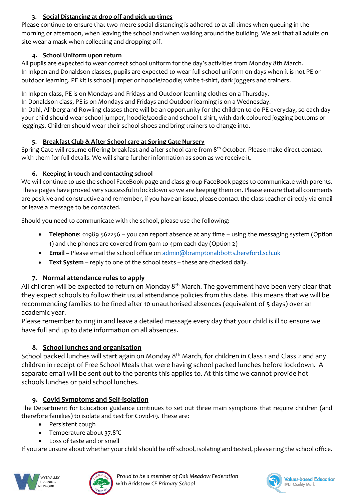### **3. Social Distancing at drop off and pick-up times**

Please continue to ensure that two-metre social distancing is adhered to at all times when queuing in the morning or afternoon, when leaving the school and when walking around the building. We ask that all adults on site wear a mask when collecting and dropping-off.

#### **4. School Uniform upon return**

All pupils are expected to wear correct school uniform for the day's activities from Monday 8th March. In Inkpen and Donaldson classes, pupils are expected to wear full school uniform on days when it is not PE or outdoor learning. PE kit is school jumper or hoodie/zoodie; white t-shirt, dark joggers and trainers.

In Inkpen class, PE is on Mondays and Fridays and Outdoor learning clothes on a Thursday. In Donaldson class, PE is on Mondays and Fridays and Outdoor learning is on a Wednesday. In Dahl, Alhberg and Rowling classes there will be an opportunity for the children to do PE everyday, so each day your child should wear school jumper, hoodie/zoodie and school t-shirt, with dark coloured jogging bottoms or leggings. Children should wear their school shoes and bring trainers to change into.

## **5. Breakfast Club & After School care at Spring Gate Nursery**

Spring Gate will resume offering breakfast and after school care from 8th October. Please make direct contact with them for full details. We will share further information as soon as we receive it.

# **6. Keeping in touch and contacting school**

We will continue to use the school FaceBook page and class group FaceBook pages to communicate with parents. These pages have proved very successful in lockdown so we are keeping them on. Please ensure that all comments are positive and constructive and remember, if you have an issue, please contact the class teacher directly via email or leave a message to be contacted.

Should you need to communicate with the school, please use the following:

- **Telephone**: 01989 562256 you can report absence at any time using the messaging system (Option 1) and the phones are covered from 9am to 4pm each day (Option 2)
- **Email**  Please email the school office o[n admin@bramptonabbotts.hereford.sch.uk](mailto:admin@bramptonabbotts.hereford.sch.uk)
- **Text System** reply to one of the school texts these are checked daily.

# **7. Normal attendance rules to apply**

All children will be expected to return on Monday  $8<sup>th</sup>$  March. The government have been very clear that they expect schools to follow their usual attendance policies from this date. This means that we will be recommending families to be fined after 10 unauthorised absences (equivalent of 5 days) over an academic year.

Please remember to ring in and leave a detailed message every day that your child is ill to ensure we have full and up to date information on all absences.

# **8. School lunches and organisation**

School packed lunches will start again on Monday 8<sup>th</sup> March, for children in Class 1 and Class 2 and any children in receipt of Free School Meals that were having school packed lunches before lockdown. A separate email will be sent out to the parents this applies to. At this time we cannot provide hot schools lunches or paid school lunches.

# **9. Covid Symptoms and Self-isolation**

The Department for Education guidance continues to set out three main symptoms that require children (and therefore families) to isolate and test for Covid-19. These are:

- Persistent cough
- Temperature about 37.8°C
- Loss of taste and or smell

If you are unsure about whether your child should be off school, isolating and tested, please ring the school office.